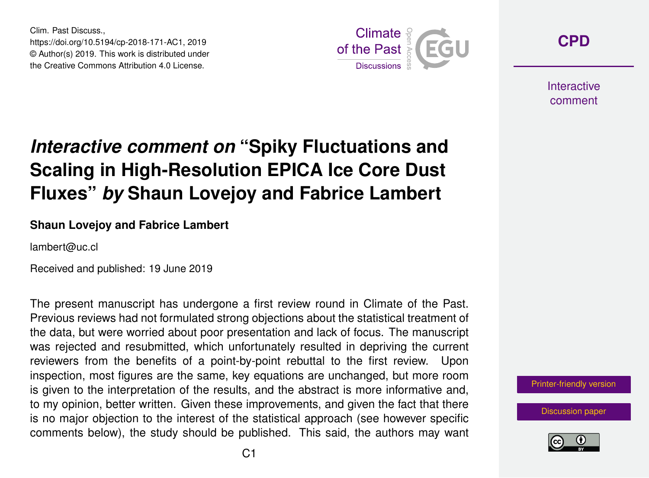Clim. Past Discuss., https://doi.org/10.5194/cp-2018-171-AC1, 2019 © Author(s) 2019. This work is distributed under the Creative Commons Attribution 4.0 License.



**[CPD](https://www.clim-past-discuss.net/)**

**Interactive** comment

# *Interactive comment on* **"Spiky Fluctuations and Scaling in High-Resolution EPICA Ice Core Dust Fluxes"** *by* **Shaun Lovejoy and Fabrice Lambert**

#### **Shaun Lovejoy and Fabrice Lambert**

lambert@uc.cl

Received and published: 19 June 2019

The present manuscript has undergone a first review round in Climate of the Past. Previous reviews had not formulated strong objections about the statistical treatment of the data, but were worried about poor presentation and lack of focus. The manuscript was rejected and resubmitted, which unfortunately resulted in depriving the current reviewers from the benefits of a point-by-point rebuttal to the first review. Upon inspection, most figures are the same, key equations are unchanged, but more room is given to the interpretation of the results, and the abstract is more informative and, to my opinion, better written. Given these improvements, and given the fact that there is no major objection to the interest of the statistical approach (see however specific comments below), the study should be published. This said, the authors may want

[Printer-friendly version](https://www.clim-past-discuss.net/cp-2018-171/cp-2018-171-AC1-print.pdf)

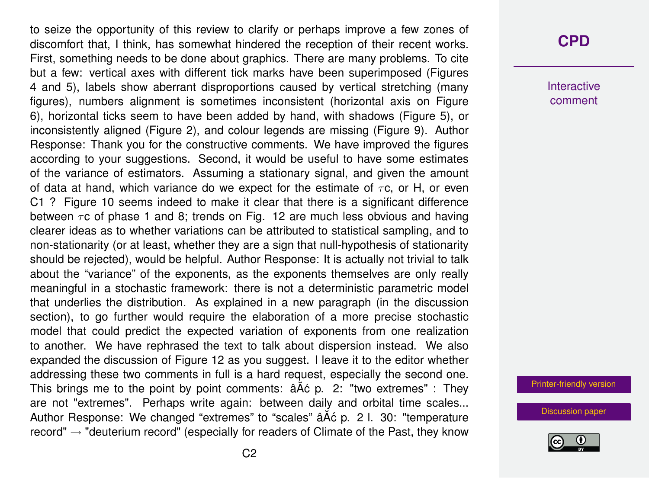to seize the opportunity of this review to clarify or perhaps improve a few zones of discomfort that, I think, has somewhat hindered the reception of their recent works. First, something needs to be done about graphics. There are many problems. To cite but a few: vertical axes with different tick marks have been superimposed (Figures 4 and 5), labels show aberrant disproportions caused by vertical stretching (many figures), numbers alignment is sometimes inconsistent (horizontal axis on Figure 6), horizontal ticks seem to have been added by hand, with shadows (Figure 5), or inconsistently aligned (Figure 2), and colour legends are missing (Figure 9). Author Response: Thank you for the constructive comments. We have improved the figures according to your suggestions. Second, it would be useful to have some estimates of the variance of estimators. Assuming a stationary signal, and given the amount of data at hand, which variance do we expect for the estimate of  $\tau c$ , or H, or even C1 ? Figure 10 seems indeed to make it clear that there is a significant difference between  $\tau$ c of phase 1 and 8; trends on Fig. 12 are much less obvious and having clearer ideas as to whether variations can be attributed to statistical sampling, and to non-stationarity (or at least, whether they are a sign that null-hypothesis of stationarity should be rejected), would be helpful. Author Response: It is actually not trivial to talk about the "variance" of the exponents, as the exponents themselves are only really meaningful in a stochastic framework: there is not a deterministic parametric model that underlies the distribution. As explained in a new paragraph (in the discussion section), to go further would require the elaboration of a more precise stochastic model that could predict the expected variation of exponents from one realization to another. We have rephrased the text to talk about dispersion instead. We also expanded the discussion of Figure 12 as you suggest. I leave it to the editor whether addressing these two comments in full is a hard request, especially the second one. This brings me to the point by point comments:  $\hat{a} \hat{A} \hat{c}$  p. 2: "two extremes" : They are not "extremes". Perhaps write again: between daily and orbital time scales... Author Response: We changed "extremes" to "scales" â A c p. 2 l. 30: "temperature record"  $\rightarrow$  "deuterium record" (especially for readers of Climate of the Past, they know

### **[CPD](https://www.clim-past-discuss.net/)**

**Interactive** comment

[Printer-friendly version](https://www.clim-past-discuss.net/cp-2018-171/cp-2018-171-AC1-print.pdf)

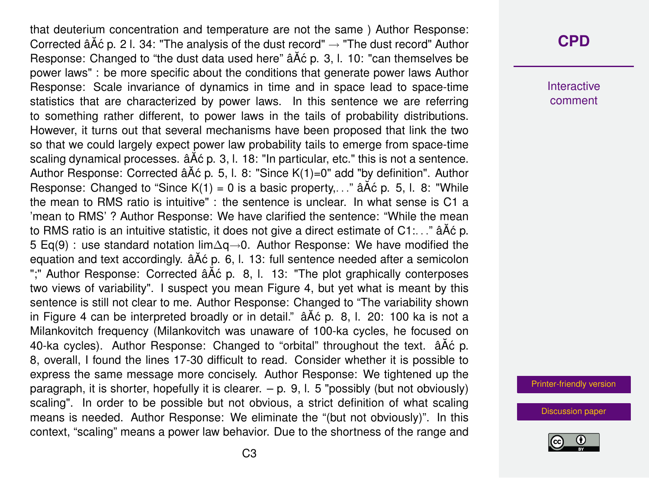that deuterium concentration and temperature are not the same ) Author Response: Corrected â $\tilde{A}$ ć p. 2 l. 34: "The analysis of the dust record"  $\rightarrow$  "The dust record" Author Response: Changed to "the dust data used here"  $\tilde{a}$  A $\tilde{c}$  p. 3, l. 10: "can themselves be power laws" : be more specific about the conditions that generate power laws Author Response: Scale invariance of dynamics in time and in space lead to space-time statistics that are characterized by power laws. In this sentence we are referring to something rather different, to power laws in the tails of probability distributions. However, it turns out that several mechanisms have been proposed that link the two so that we could largely expect power law probability tails to emerge from space-time scaling dynamical processes.  $\hat{a}$ A $\hat{c}$  p. 3, l. 18: "In particular, etc." this is not a sentence. Author Response: Corrected â $\tilde{A}$ c p. 5, l. 8: "Since K(1)=0" add "by definition". Author Response: Changed to "Since  $K(1) = 0$  is a basic property...."  $\hat{a}$  A $\hat{c}$  p. 5, l. 8: "While the mean to RMS ratio is intuitive" : the sentence is unclear. In what sense is C1 a 'mean to RMS' ? Author Response: We have clarified the sentence: "While the mean to RMS ratio is an intuitive statistic, it does not give a direct estimate of  $C1...$  . ." â A $\acute{\text{o}}$  p. 5 Eq(9) : use standard notation lim∆q→0. Author Response: We have modified the equation and text accordingly.  $\hat{a} \hat{A} \hat{c}$  p. 6, l. 13: full sentence needed after a semicolon ";" Author Response: Corrected âĂć p. 8, l. 13: "The plot graphically conterposes two views of variability". I suspect you mean Figure 4, but yet what is meant by this sentence is still not clear to me. Author Response: Changed to "The variability shown in Figure 4 can be interpreted broadly or in detail."  $\hat{A}$   $\hat{A}$   $\hat{C}$  p. 8, l. 20: 100 ka is not a Milankovitch frequency (Milankovitch was unaware of 100-ka cycles, he focused on 40-ka cycles). Author Response: Changed to "orbital" throughout the text.  $\hat{a}$ A $\hat{c}$  p. 8, overall, I found the lines 17-30 difficult to read. Consider whether it is possible to express the same message more concisely. Author Response: We tightened up the paragraph, it is shorter, hopefully it is clearer.  $-$  p. 9, l. 5 "possibly (but not obviously) scaling". In order to be possible but not obvious, a strict definition of what scaling means is needed. Author Response: We eliminate the "(but not obviously)". In this context, "scaling" means a power law behavior. Due to the shortness of the range and

### **[CPD](https://www.clim-past-discuss.net/)**

**Interactive** comment

[Printer-friendly version](https://www.clim-past-discuss.net/cp-2018-171/cp-2018-171-AC1-print.pdf)